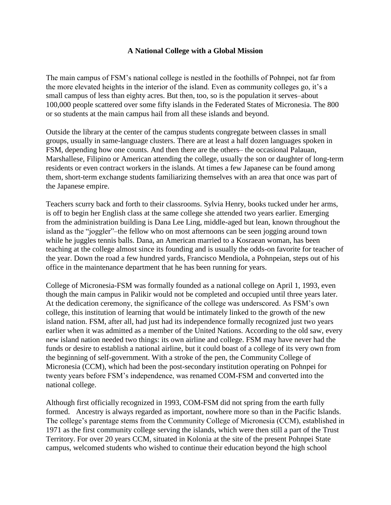## **A National College with a Global Mission**

The main campus of FSM's national college is nestled in the foothills of Pohnpei, not far from the more elevated heights in the interior of the island. Even as community colleges go, it's a small campus of less than eighty acres. But then, too, so is the population it serves–about 100,000 people scattered over some fifty islands in the Federated States of Micronesia. The 800 or so students at the main campus hail from all these islands and beyond.

Outside the library at the center of the campus students congregate between classes in small groups, usually in same-language clusters. There are at least a half dozen languages spoken in FSM, depending how one counts. And then there are the others– the occasional Palauan, Marshallese, Filipino or American attending the college, usually the son or daughter of long-term residents or even contract workers in the islands. At times a few Japanese can be found among them, short-term exchange students familiarizing themselves with an area that once was part of the Japanese empire.

Teachers scurry back and forth to their classrooms. Sylvia Henry, books tucked under her arms, is off to begin her English class at the same college she attended two years earlier. Emerging from the administration building is Dana Lee Ling, middle-aged but lean, known throughout the island as the "joggler"–the fellow who on most afternoons can be seen jogging around town while he juggles tennis balls. Dana, an American married to a Kosraean woman, has been teaching at the college almost since its founding and is usually the odds-on favorite for teacher of the year. Down the road a few hundred yards, Francisco Mendiola, a Pohnpeian, steps out of his office in the maintenance department that he has been running for years.

College of Micronesia-FSM was formally founded as a national college on April 1, 1993, even though the main campus in Palikir would not be completed and occupied until three years later. At the dedication ceremony, the significance of the college was underscored. As FSM's own college, this institution of learning that would be intimately linked to the growth of the new island nation. FSM, after all, had just had its independence formally recognized just two years earlier when it was admitted as a member of the United Nations. According to the old saw, every new island nation needed two things: its own airline and college. FSM may have never had the funds or desire to establish a national airline, but it could boast of a college of its very own from the beginning of self-government. With a stroke of the pen, the Community College of Micronesia (CCM), which had been the post-secondary institution operating on Pohnpei for twenty years before FSM's independence, was renamed COM-FSM and converted into the national college.

Although first officially recognized in 1993, COM-FSM did not spring from the earth fully formed. Ancestry is always regarded as important, nowhere more so than in the Pacific Islands. The college's parentage stems from the Community College of Micronesia (CCM), established in 1971 as the first community college serving the islands, which were then still a part of the Trust Territory. For over 20 years CCM, situated in Kolonia at the site of the present Pohnpei State campus, welcomed students who wished to continue their education beyond the high school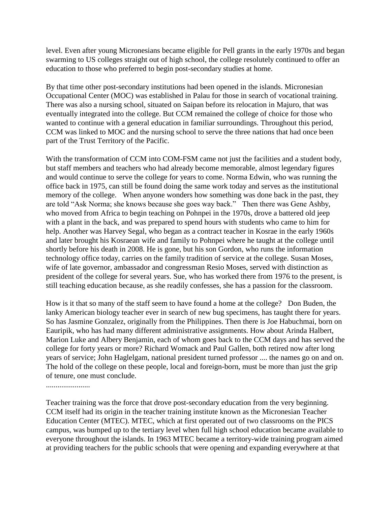level. Even after young Micronesians became eligible for Pell grants in the early 1970s and began swarming to US colleges straight out of high school, the college resolutely continued to offer an education to those who preferred to begin post-secondary studies at home.

By that time other post-secondary institutions had been opened in the islands. Micronesian Occupational Center (MOC) was established in Palau for those in search of vocational training. There was also a nursing school, situated on Saipan before its relocation in Majuro, that was eventually integrated into the college. But CCM remained the college of choice for those who wanted to continue with a general education in familiar surroundings. Throughout this period, CCM was linked to MOC and the nursing school to serve the three nations that had once been part of the Trust Territory of the Pacific.

With the transformation of CCM into COM-FSM came not just the facilities and a student body, but staff members and teachers who had already become memorable, almost legendary figures and would continue to serve the college for years to come. Norma Edwin, who was running the office back in 1975, can still be found doing the same work today and serves as the institutional memory of the college. When anyone wonders how something was done back in the past, they are told "Ask Norma; she knows because she goes way back." Then there was Gene Ashby, who moved from Africa to begin teaching on Pohnpei in the 1970s, drove a battered old jeep with a plant in the back, and was prepared to spend hours with students who came to him for help. Another was Harvey Segal, who began as a contract teacher in Kosrae in the early 1960s and later brought his Kosraean wife and family to Pohnpei where he taught at the college until shortly before his death in 2008. He is gone, but his son Gordon, who runs the information technology office today, carries on the family tradition of service at the college. Susan Moses, wife of late governor, ambassador and congressman Resio Moses, served with distinction as president of the college for several years. Sue, who has worked there from 1976 to the present, is still teaching education because, as she readily confesses, she has a passion for the classroom.

How is it that so many of the staff seem to have found a home at the college? Don Buden, the lanky American biology teacher ever in search of new bug specimens, has taught there for years. So has Jasmine Gonzalez, originally from the Philippines. Then there is Joe Habuchmai, born on Eauripik, who has had many different administrative assignments. How about Arinda Halbert, Marion Luke and Albery Benjamin, each of whom goes back to the CCM days and has served the college for forty years or more? Richard Womack and Paul Gallen, both retired now after long years of service; John Haglelgam, national president turned professor .... the names go on and on. The hold of the college on these people, local and foreign-born, must be more than just the grip of tenure, one must conclude.

.......................

Teacher training was the force that drove post-secondary education from the very beginning. CCM itself had its origin in the teacher training institute known as the Micronesian Teacher Education Center (MTEC). MTEC, which at first operated out of two classrooms on the PICS campus, was bumped up to the tertiary level when full high school education became available to everyone throughout the islands. In 1963 MTEC became a territory-wide training program aimed at providing teachers for the public schools that were opening and expanding everywhere at that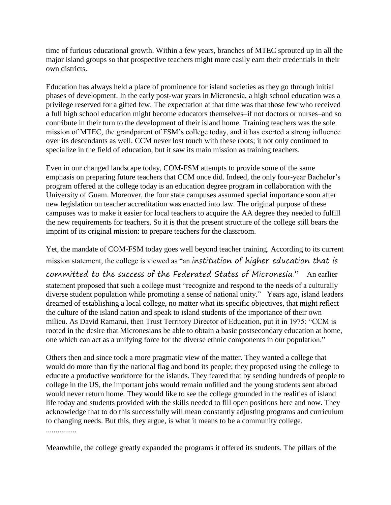time of furious educational growth. Within a few years, branches of MTEC sprouted up in all the major island groups so that prospective teachers might more easily earn their credentials in their own districts.

Education has always held a place of prominence for island societies as they go through initial phases of development. In the early post-war years in Micronesia, a high school education was a privilege reserved for a gifted few. The expectation at that time was that those few who received a full high school education might become educators themselves–if not doctors or nurses–and so contribute in their turn to the development of their island home. Training teachers was the sole mission of MTEC, the grandparent of FSM's college today, and it has exerted a strong influence over its descendants as well. CCM never lost touch with these roots; it not only continued to specialize in the field of education, but it saw its main mission as training teachers.

Even in our changed landscape today, COM-FSM attempts to provide some of the same emphasis on preparing future teachers that CCM once did. Indeed, the only four-year Bachelor's program offered at the college today is an education degree program in collaboration with the University of Guam. Moreover, the four state campuses assumed special importance soon after new legislation on teacher accreditation was enacted into law. The original purpose of these campuses was to make it easier for local teachers to acquire the AA degree they needed to fulfill the new requirements for teachers. So it is that the present structure of the college still bears the imprint of its original mission: to prepare teachers for the classroom.

Yet, the mandate of COM-FSM today goes well beyond teacher training. According to its current mission statement, the college is viewed as "an institution of higher education that is

committed to the success of the Federated States of Micronesia." An earlier statement proposed that such a college must "recognize and respond to the needs of a culturally diverse student population while promoting a sense of national unity." Years ago, island leaders dreamed of establishing a local college, no matter what its specific objectives, that might reflect the culture of the island nation and speak to island students of the importance of their own milieu. As David Ramarui, then Trust Territory Director of Education, put it in 1975: "CCM is rooted in the desire that Micronesians be able to obtain a basic postsecondary education at home, one which can act as a unifying force for the diverse ethnic components in our population."

Others then and since took a more pragmatic view of the matter. They wanted a college that would do more than fly the national flag and bond its people; they proposed using the college to educate a productive workforce for the islands. They feared that by sending hundreds of people to college in the US, the important jobs would remain unfilled and the young students sent abroad would never return home. They would like to see the college grounded in the realities of island life today and students provided with the skills needed to fill open positions here and now. They acknowledge that to do this successfully will mean constantly adjusting programs and curriculum to changing needs. But this, they argue, is what it means to be a community college. ................

Meanwhile, the college greatly expanded the programs it offered its students. The pillars of the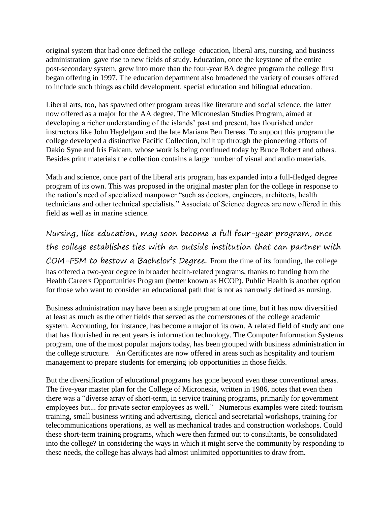original system that had once defined the college–education, liberal arts, nursing, and business administration–gave rise to new fields of study. Education, once the keystone of the entire post-secondary system, grew into more than the four-year BA degree program the college first began offering in 1997. The education department also broadened the variety of courses offered to include such things as child development, special education and bilingual education.

Liberal arts, too, has spawned other program areas like literature and social science, the latter now offered as a major for the AA degree. The Micronesian Studies Program, aimed at developing a richer understanding of the islands' past and present, has flourished under instructors like John Haglelgam and the late Mariana Ben Dereas. To support this program the college developed a distinctive Pacific Collection, built up through the pioneering efforts of Dakio Syne and Iris Falcam, whose work is being continued today by Bruce Robert and others. Besides print materials the collection contains a large number of visual and audio materials.

Math and science, once part of the liberal arts program, has expanded into a full-fledged degree program of its own. This was proposed in the original master plan for the college in response to the nation's need of specialized manpower "such as doctors, engineers, architects, health technicians and other technical specialists." Associate of Science degrees are now offered in this field as well as in marine science.

Nursing, like education, may soon become a full four-year program, once the college establishes ties with an outside institution that can partner with COM-FSM to bestow a Bachelor's Degree. From the time of its founding, the college has offered a two-year degree in broader health-related programs, thanks to funding from the Health Careers Opportunities Program (better known as HCOP). Public Health is another option for those who want to consider an educational path that is not as narrowly defined as nursing.

Business administration may have been a single program at one time, but it has now diversified at least as much as the other fields that served as the cornerstones of the college academic system. Accounting, for instance, has become a major of its own. A related field of study and one that has flourished in recent years is information technology. The Computer Information Systems program, one of the most popular majors today, has been grouped with business administration in the college structure. An Certificates are now offered in areas such as hospitality and tourism management to prepare students for emerging job opportunities in those fields.

But the diversification of educational programs has gone beyond even these conventional areas. The five-year master plan for the College of Micronesia, written in 1986, notes that even then there was a "diverse array of short-term, in service training programs, primarily for government employees but... for private sector employees as well." Numerous examples were cited: tourism training, small business writing and advertising, clerical and secretarial workshops, training for telecommunications operations, as well as mechanical trades and construction workshops. Could these short-term training programs, which were then farmed out to consultants, be consolidated into the college? In considering the ways in which it might serve the community by responding to these needs, the college has always had almost unlimited opportunities to draw from.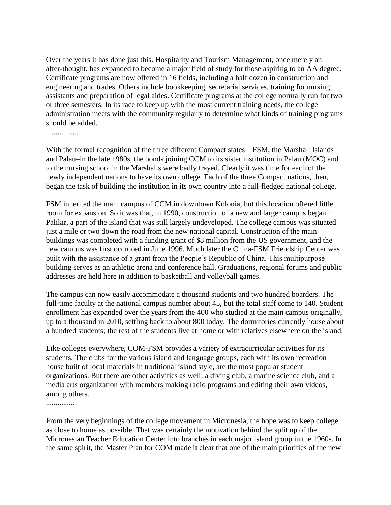Over the years it has done just this. Hospitality and Tourism Management, once merely an after-thought, has expanded to become a major field of study for those aspiring to an AA degree. Certificate programs are now offered in 16 fields, including a half dozen in construction and engineering and trades. Others include bookkeeping, secretarial services, training for nursing assistants and preparation of legal aides. Certificate programs at the college normally run for two or three semesters. In its race to keep up with the most current training needs, the college administration meets with the community regularly to determine what kinds of training programs should be added.

.................

With the formal recognition of the three different Compact states—FSM, the Marshall Islands and Palau–in the late 1980s, the bonds joining CCM to its sister institution in Palau (MOC) and to the nursing school in the Marshalls were badly frayed. Clearly it was time for each of the newly independent nations to have its own college. Each of the three Compact nations, then, began the task of building the institution in its own country into a full-fledged national college.

FSM inherited the main campus of CCM in downtown Kolonia, but this location offered little room for expansion. So it was that, in 1990, construction of a new and larger campus began in Palikir, a part of the island that was still largely undeveloped. The college campus was situated just a mile or two down the road from the new national capital. Construction of the main buildings was completed with a funding grant of \$8 million from the US government, and the new campus was first occupied in June 1996. Much later the China-FSM Friendship Center was built with the assistance of a grant from the People's Republic of China. This multipurpose building serves as an athletic arena and conference hall. Graduations, regional forums and public addresses are held here in addition to basketball and volleyball games.

The campus can now easily accommodate a thousand students and two hundred boarders. The full-time faculty at the national campus number about 45, but the total staff come to 140. Student enrollment has expanded over the years from the 400 who studied at the main campus originally, up to a thousand in 2010, settling back to about 800 today. The dormitories currently house about a hundred students; the rest of the students live at home or with relatives elsewhere on the island.

Like colleges everywhere, COM-FSM provides a variety of extracurricular activities for its students. The clubs for the various island and language groups, each with its own recreation house built of local materials in traditional island style, are the most popular student organizations. But there are other activities as well: a diving club, a marine science club, and a media arts organization with members making radio programs and editing their own videos, among others.

...............

From the very beginnings of the college movement in Micronesia, the hope was to keep college as close to home as possible. That was certainly the motivation behind the split up of the Micronesian Teacher Education Center into branches in each major island group in the 1960s. In the same spirit, the Master Plan for COM made it clear that one of the main priorities of the new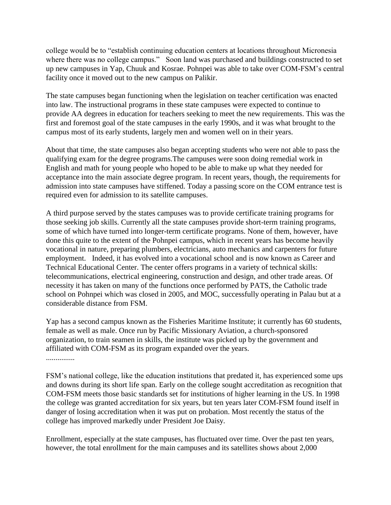college would be to "establish continuing education centers at locations throughout Micronesia where there was no college campus." Soon land was purchased and buildings constructed to set up new campuses in Yap, Chuuk and Kosrae. Pohnpei was able to take over COM-FSM's central facility once it moved out to the new campus on Palikir.

The state campuses began functioning when the legislation on teacher certification was enacted into law. The instructional programs in these state campuses were expected to continue to provide AA degrees in education for teachers seeking to meet the new requirements. This was the first and foremost goal of the state campuses in the early 1990s, and it was what brought to the campus most of its early students, largely men and women well on in their years.

About that time, the state campuses also began accepting students who were not able to pass the qualifying exam for the degree programs.The campuses were soon doing remedial work in English and math for young people who hoped to be able to make up what they needed for acceptance into the main associate degree program. In recent years, though, the requirements for admission into state campuses have stiffened. Today a passing score on the COM entrance test is required even for admission to its satellite campuses.

A third purpose served by the states campuses was to provide certificate training programs for those seeking job skills. Currently all the state campuses provide short-term training programs, some of which have turned into longer-term certificate programs. None of them, however, have done this quite to the extent of the Pohnpei campus, which in recent years has become heavily vocational in nature, preparing plumbers, electricians, auto mechanics and carpenters for future employment. Indeed, it has evolved into a vocational school and is now known as Career and Technical Educational Center. The center offers programs in a variety of technical skills: telecommunications, electrical engineering, construction and design, and other trade areas. Of necessity it has taken on many of the functions once performed by PATS, the Catholic trade school on Pohnpei which was closed in 2005, and MOC, successfully operating in Palau but at a considerable distance from FSM.

Yap has a second campus known as the Fisheries Maritime Institute; it currently has 60 students, female as well as male. Once run by Pacific Missionary Aviation, a church-sponsored organization, to train seamen in skills, the institute was picked up by the government and affiliated with COM-FSM as its program expanded over the years. ...............

FSM's national college, like the education institutions that predated it, has experienced some ups and downs during its short life span. Early on the college sought accreditation as recognition that COM-FSM meets those basic standards set for institutions of higher learning in the US. In 1998 the college was granted accreditation for six years, but ten years later COM-FSM found itself in danger of losing accreditation when it was put on probation. Most recently the status of the college has improved markedly under President Joe Daisy.

Enrollment, especially at the state campuses, has fluctuated over time. Over the past ten years, however, the total enrollment for the main campuses and its satellites shows about 2,000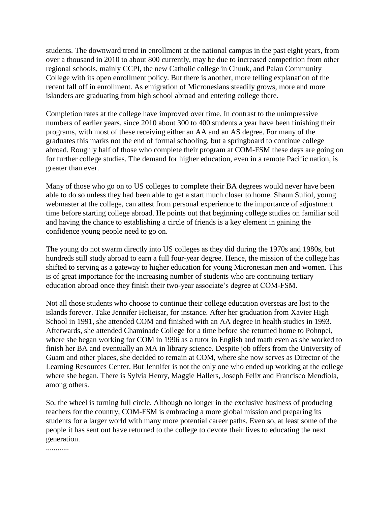students. The downward trend in enrollment at the national campus in the past eight years, from over a thousand in 2010 to about 800 currently, may be due to increased competition from other regional schools, mainly CCPI, the new Catholic college in Chuuk, and Palau Community College with its open enrollment policy. But there is another, more telling explanation of the recent fall off in enrollment. As emigration of Micronesians steadily grows, more and more islanders are graduating from high school abroad and entering college there.

Completion rates at the college have improved over time. In contrast to the unimpressive numbers of earlier years, since 2010 about 300 to 400 students a year have been finishing their programs, with most of these receiving either an AA and an AS degree. For many of the graduates this marks not the end of formal schooling, but a springboard to continue college abroad. Roughly half of those who complete their program at COM-FSM these days are going on for further college studies. The demand for higher education, even in a remote Pacific nation, is greater than ever.

Many of those who go on to US colleges to complete their BA degrees would never have been able to do so unless they had been able to get a start much closer to home. Shaun Suliol, young webmaster at the college, can attest from personal experience to the importance of adjustment time before starting college abroad. He points out that beginning college studies on familiar soil and having the chance to establishing a circle of friends is a key element in gaining the confidence young people need to go on.

The young do not swarm directly into US colleges as they did during the 1970s and 1980s, but hundreds still study abroad to earn a full four-year degree. Hence, the mission of the college has shifted to serving as a gateway to higher education for young Micronesian men and women. This is of great importance for the increasing number of students who are continuing tertiary education abroad once they finish their two-year associate's degree at COM-FSM.

Not all those students who choose to continue their college education overseas are lost to the islands forever. Take Jennifer Helieisar, for instance. After her graduation from Xavier High School in 1991, she attended COM and finished with an AA degree in health studies in 1993. Afterwards, she attended Chaminade College for a time before she returned home to Pohnpei, where she began working for COM in 1996 as a tutor in English and math even as she worked to finish her BA and eventually an MA in library science. Despite job offers from the University of Guam and other places, she decided to remain at COM, where she now serves as Director of the Learning Resources Center. But Jennifer is not the only one who ended up working at the college where she began. There is Sylvia Henry, Maggie Hallers, Joseph Felix and Francisco Mendiola, among others.

So, the wheel is turning full circle. Although no longer in the exclusive business of producing teachers for the country, COM-FSM is embracing a more global mission and preparing its students for a larger world with many more potential career paths. Even so, at least some of the people it has sent out have returned to the college to devote their lives to educating the next generation.

............